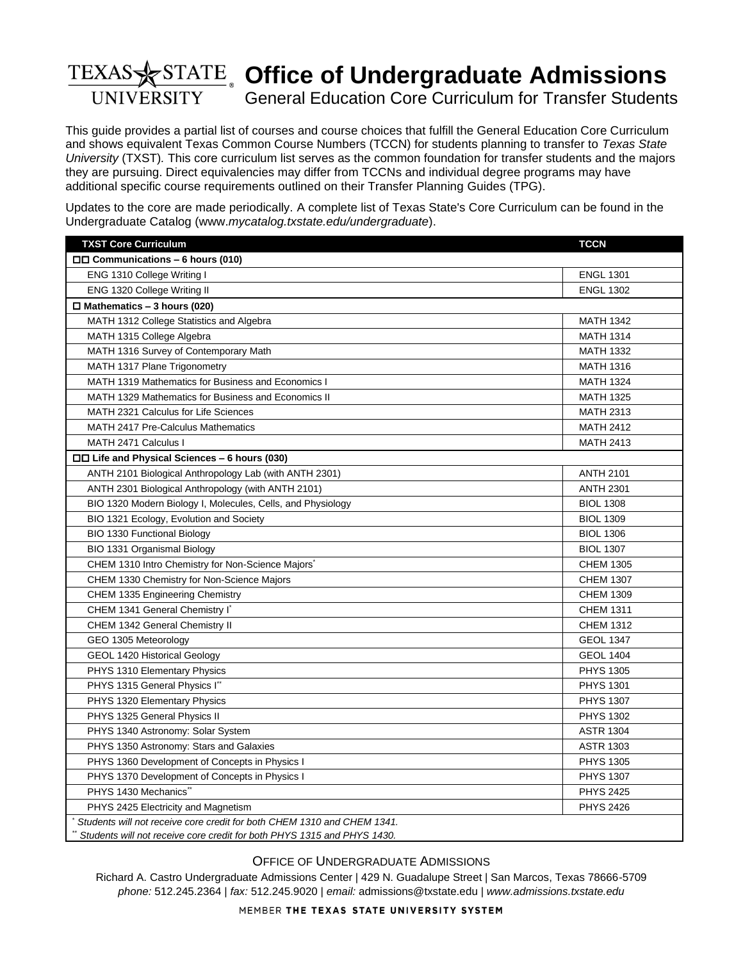## **TEXAS STATE** Office of Undergraduate Admissions General Education Core Curriculum for Transfer Students **UNIVERSITY**

This guide provides a partial list of courses and course choices that fulfill the General Education Core Curriculum and shows equivalent Texas Common Course Numbers (TCCN) for students planning to transfer to *Texas State University* (TXST)*.* This core curriculum list serves as the common foundation for transfer students and the majors they are pursuing. Direct equivalencies may differ from TCCNs and individual degree programs may have additional specific course requirements outlined on their Transfer Planning Guides (TPG).

Updates to the core are made periodically. A complete list of Texas State's Core Curriculum can be found in the Undergraduate Catalog (www.*mycatalog.txstate.edu/undergraduate*).

| <b>TXST Core Curriculum</b>                                                                                                                        | <b>TCCN</b>      |
|----------------------------------------------------------------------------------------------------------------------------------------------------|------------------|
| $\Box$ Communications - 6 hours (010)                                                                                                              |                  |
| ENG 1310 College Writing I                                                                                                                         | <b>ENGL 1301</b> |
| ENG 1320 College Writing II                                                                                                                        | <b>ENGL 1302</b> |
| $\Box$ Mathematics - 3 hours (020)                                                                                                                 |                  |
| MATH 1312 College Statistics and Algebra                                                                                                           | <b>MATH 1342</b> |
| MATH 1315 College Algebra                                                                                                                          | <b>MATH 1314</b> |
| MATH 1316 Survey of Contemporary Math                                                                                                              | <b>MATH 1332</b> |
| MATH 1317 Plane Trigonometry                                                                                                                       | <b>MATH 1316</b> |
| MATH 1319 Mathematics for Business and Economics I                                                                                                 | <b>MATH 1324</b> |
| MATH 1329 Mathematics for Business and Economics II                                                                                                | <b>MATH 1325</b> |
| MATH 2321 Calculus for Life Sciences                                                                                                               | <b>MATH 2313</b> |
| MATH 2417 Pre-Calculus Mathematics                                                                                                                 | <b>MATH 2412</b> |
| MATH 2471 Calculus I                                                                                                                               | <b>MATH 2413</b> |
| $\Box$ Life and Physical Sciences – 6 hours (030)                                                                                                  |                  |
| ANTH 2101 Biological Anthropology Lab (with ANTH 2301)                                                                                             | <b>ANTH 2101</b> |
| ANTH 2301 Biological Anthropology (with ANTH 2101)                                                                                                 | <b>ANTH 2301</b> |
| BIO 1320 Modern Biology I, Molecules, Cells, and Physiology                                                                                        | <b>BIOL 1308</b> |
| BIO 1321 Ecology, Evolution and Society                                                                                                            | <b>BIOL 1309</b> |
| BIO 1330 Functional Biology                                                                                                                        | <b>BIOL 1306</b> |
| BIO 1331 Organismal Biology                                                                                                                        | <b>BIOL 1307</b> |
| CHEM 1310 Intro Chemistry for Non-Science Majors <sup>*</sup>                                                                                      | <b>CHEM 1305</b> |
| CHEM 1330 Chemistry for Non-Science Majors                                                                                                         | <b>CHEM 1307</b> |
| <b>CHEM 1335 Engineering Chemistry</b>                                                                                                             | <b>CHEM 1309</b> |
| CHEM 1341 General Chemistry I                                                                                                                      | <b>CHEM 1311</b> |
| CHEM 1342 General Chemistry II                                                                                                                     | <b>CHEM 1312</b> |
| GEO 1305 Meteorology                                                                                                                               | <b>GEOL 1347</b> |
| GEOL 1420 Historical Geology                                                                                                                       | <b>GEOL 1404</b> |
| PHYS 1310 Elementary Physics                                                                                                                       | <b>PHYS 1305</b> |
| PHYS 1315 General Physics I"                                                                                                                       | <b>PHYS 1301</b> |
| PHYS 1320 Elementary Physics                                                                                                                       | <b>PHYS 1307</b> |
| PHYS 1325 General Physics II                                                                                                                       | <b>PHYS 1302</b> |
| PHYS 1340 Astronomy: Solar System                                                                                                                  | <b>ASTR 1304</b> |
| PHYS 1350 Astronomy: Stars and Galaxies                                                                                                            | <b>ASTR 1303</b> |
| PHYS 1360 Development of Concepts in Physics I                                                                                                     | <b>PHYS 1305</b> |
| PHYS 1370 Development of Concepts in Physics I                                                                                                     | <b>PHYS 1307</b> |
| PHYS 1430 Mechanics"                                                                                                                               | <b>PHYS 2425</b> |
| PHYS 2425 Electricity and Magnetism                                                                                                                | <b>PHYS 2426</b> |
| Students will not receive core credit for both CHEM 1310 and CHEM 1341.<br>Students will not receive core credit for both PHYS 1315 and PHYS 1430. |                  |

## OFFICE OF UNDERGRADUATE ADMISSIONS

Richard A. Castro Undergraduate Admissions Center | 429 N. Guadalupe Street | San Marcos, Texas 78666-5709 *phone:* 512.245.2364 | *fax:* 512.245.9020 | *email:* admissions@txstate.edu | *www.admissions.txstate.edu*